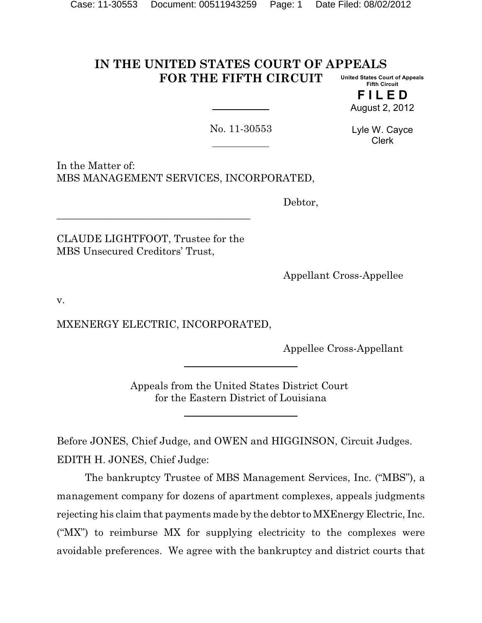#### **IN THE UNITED STATES COURT OF APPEALS FOR THE FIFTH CIRCUIT United States Court of Appeals Fifth Circuit**

**F I L E D** August 2, 2012

No. 11-30553

Lyle W. Cayce Clerk

In the Matter of: MBS MANAGEMENT SERVICES, INCORPORATED,

Debtor,

CLAUDE LIGHTFOOT, Trustee for the MBS Unsecured Creditors' Trust,

\_\_\_\_\_\_\_\_\_\_\_\_\_\_\_\_\_\_\_\_\_\_\_\_\_\_\_\_\_\_\_\_\_\_\_\_\_\_

Appellant Cross-Appellee

v.

MXENERGY ELECTRIC, INCORPORATED,

Appellee Cross-Appellant

Appeals from the United States District Court for the Eastern District of Louisiana

Before JONES, Chief Judge, and OWEN and HIGGINSON, Circuit Judges. EDITH H. JONES, Chief Judge:

The bankruptcy Trustee of MBS Management Services, Inc. ("MBS"), a management company for dozens of apartment complexes, appeals judgments rejecting his claim that payments made by the debtor to MXEnergy Electric, Inc. ("MX") to reimburse MX for supplying electricity to the complexes were avoidable preferences. We agree with the bankruptcy and district courts that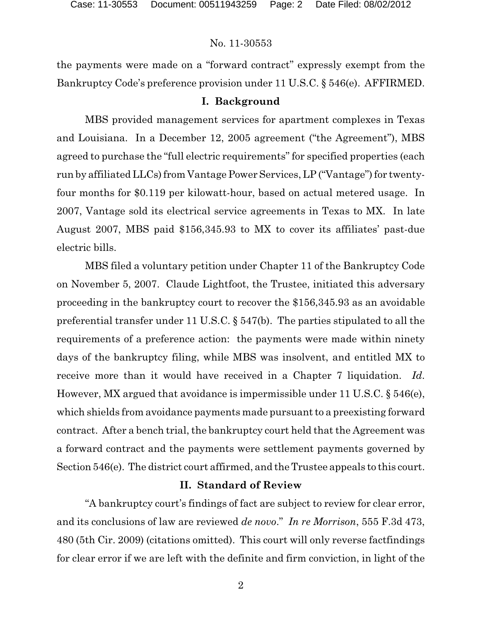the payments were made on a "forward contract" expressly exempt from the Bankruptcy Code's preference provision under 11 U.S.C. § 546(e). AFFIRMED.

#### **I. Background**

MBS provided management services for apartment complexes in Texas and Louisiana. In a December 12, 2005 agreement ("the Agreement"), MBS agreed to purchase the "full electric requirements" for specified properties (each run by affiliated LLCs) from Vantage Power Services, LP ("Vantage") for twentyfour months for \$0.119 per kilowatt-hour, based on actual metered usage. In 2007, Vantage sold its electrical service agreements in Texas to MX. In late August 2007, MBS paid \$156,345.93 to MX to cover its affiliates' past-due electric bills.

MBS filed a voluntary petition under Chapter 11 of the Bankruptcy Code on November 5, 2007. Claude Lightfoot, the Trustee, initiated this adversary proceeding in the bankruptcy court to recover the \$156,345.93 as an avoidable preferential transfer under 11 U.S.C. § 547(b). The parties stipulated to all the requirements of a preference action: the payments were made within ninety days of the bankruptcy filing, while MBS was insolvent, and entitled MX to receive more than it would have received in a Chapter 7 liquidation. *Id*. However, MX argued that avoidance is impermissible under 11 U.S.C. § 546(e), which shields from avoidance payments made pursuant to a preexisting forward contract. After a bench trial, the bankruptcy court held that the Agreement was a forward contract and the payments were settlement payments governed by Section 546(e). The district court affirmed, and the Trustee appeals to this court.

## **II. Standard of Review**

"A bankruptcy court's findings of fact are subject to review for clear error, and its conclusions of law are reviewed *de novo*." *In re Morrison*, 555 F.3d 473, 480 (5th Cir. 2009) (citations omitted). This court will only reverse factfindings for clear error if we are left with the definite and firm conviction, in light of the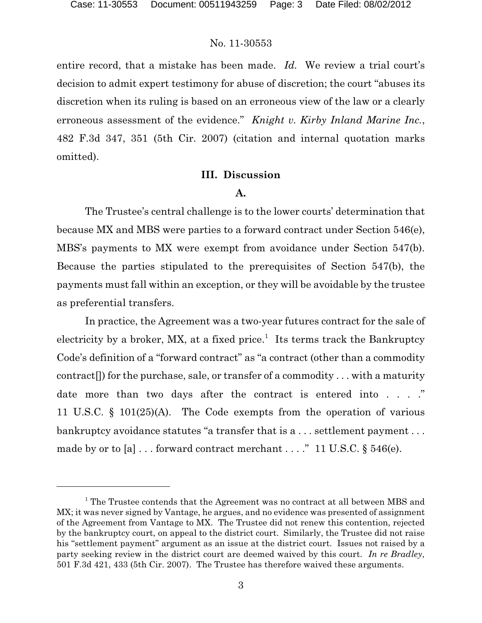entire record, that a mistake has been made. *Id.* We review a trial court's decision to admit expert testimony for abuse of discretion; the court "abuses its discretion when its ruling is based on an erroneous view of the law or a clearly erroneous assessment of the evidence." *Knight v. Kirby Inland Marine Inc.*, 482 F.3d 347, 351 (5th Cir. 2007) (citation and internal quotation marks omitted).

#### **III. Discussion**

#### **A.**

The Trustee's central challenge is to the lower courts' determination that because MX and MBS were parties to a forward contract under Section 546(e), MBS's payments to MX were exempt from avoidance under Section 547(b). Because the parties stipulated to the prerequisites of Section 547(b), the payments must fall within an exception, or they will be avoidable by the trustee as preferential transfers.

In practice, the Agreement was a two-year futures contract for the sale of electricity by a broker, MX, at a fixed price.<sup>1</sup> Its terms track the Bankruptcy Code's definition of a "forward contract" as "a contract (other than a commodity contract[]) for the purchase, sale, or transfer of a commodity . . . with a maturity date more than two days after the contract is entered into . . . ." 11 U.S.C. § 101(25)(A). The Code exempts from the operation of various bankruptcy avoidance statutes "a transfer that is a ... settlement payment ... made by or to [a]  $\ldots$  forward contract merchant  $\ldots$ ." 11 U.S.C. § 546(e).

 $^{\rm 1}$  The Trustee contends that the Agreement was no contract at all between MBS and MX; it was never signed by Vantage, he argues, and no evidence was presented of assignment of the Agreement from Vantage to MX. The Trustee did not renew this contention, rejected by the bankruptcy court, on appeal to the district court. Similarly, the Trustee did not raise his "settlement payment" argument as an issue at the district court. Issues not raised by a party seeking review in the district court are deemed waived by this court. *In re Bradley*, 501 F.3d 421, 433 (5th Cir. 2007). The Trustee has therefore waived these arguments.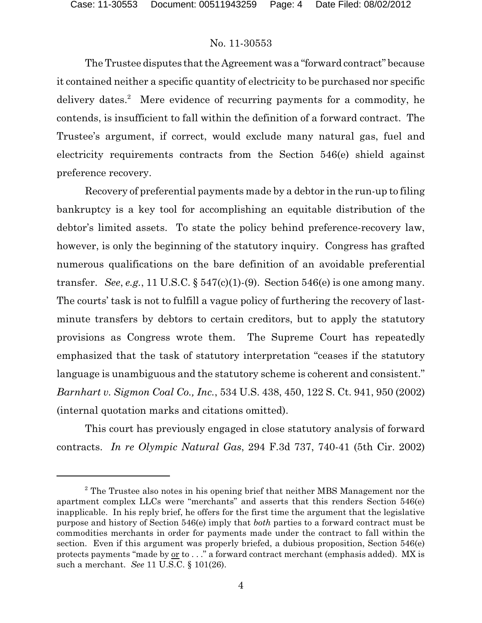The Trustee disputes that the Agreement was a "forward contract" because it contained neither a specific quantity of electricity to be purchased nor specific delivery dates.<sup>2</sup> Mere evidence of recurring payments for a commodity, he contends, is insufficient to fall within the definition of a forward contract. The Trustee's argument, if correct, would exclude many natural gas, fuel and electricity requirements contracts from the Section 546(e) shield against preference recovery.

Recovery of preferential payments made by a debtor in the run-up to filing bankruptcy is a key tool for accomplishing an equitable distribution of the debtor's limited assets. To state the policy behind preference-recovery law, however, is only the beginning of the statutory inquiry. Congress has grafted numerous qualifications on the bare definition of an avoidable preferential transfer. *See*, *e.g.*, 11 U.S.C.  $\S 547(c)(1)$ -(9). Section 546(e) is one among many. The courts' task is not to fulfill a vague policy of furthering the recovery of lastminute transfers by debtors to certain creditors, but to apply the statutory provisions as Congress wrote them. The Supreme Court has repeatedly emphasized that the task of statutory interpretation "ceases if the statutory language is unambiguous and the statutory scheme is coherent and consistent." *Barnhart v. Sigmon Coal Co., Inc.*, 534 U.S. 438, 450, 122 S. Ct. 941, 950 (2002) (internal quotation marks and citations omitted).

This court has previously engaged in close statutory analysis of forward contracts. *In re Olympic Natural Gas*, 294 F.3d 737, 740-41 (5th Cir. 2002)

 $2^{\circ}$  The Trustee also notes in his opening brief that neither MBS Management nor the apartment complex LLCs were "merchants" and asserts that this renders Section 546(e) inapplicable. In his reply brief, he offers for the first time the argument that the legislative purpose and history of Section 546(e) imply that *both* parties to a forward contract must be commodities merchants in order for payments made under the contract to fall within the section. Even if this argument was properly briefed, a dubious proposition, Section 546(e) protects payments "made by or to . . ." a forward contract merchant (emphasis added). MX is such a merchant. *See* 11 U.S.C. § 101(26).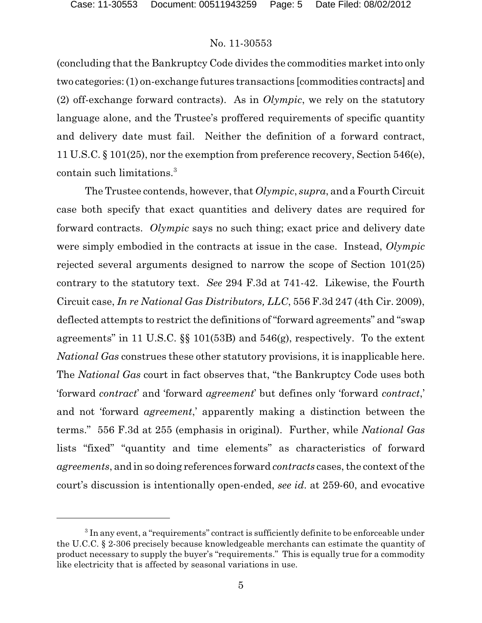(concluding that the Bankruptcy Code divides the commodities market into only two categories:(1) on-exchange futures transactions [commodities contracts] and (2) off-exchange forward contracts). As in *Olympic*, we rely on the statutory language alone, and the Trustee's proffered requirements of specific quantity and delivery date must fail. Neither the definition of a forward contract, 11 U.S.C. § 101(25), nor the exemption from preference recovery, Section 546(e), contain such limitations.<sup>3</sup>

The Trustee contends, however, that *Olympic*, *supra*, and a Fourth Circuit case both specify that exact quantities and delivery dates are required for forward contracts. *Olympic* says no such thing; exact price and delivery date were simply embodied in the contracts at issue in the case. Instead, *Olympic* rejected several arguments designed to narrow the scope of Section 101(25) contrary to the statutory text. *See* 294 F.3d at 741-42. Likewise, the Fourth Circuit case, *In re National Gas Distributors, LLC*, 556 F.3d 247 (4th Cir. 2009), deflected attempts to restrict the definitions of "forward agreements" and "swap agreements" in 11 U.S.C. §§ 101(53B) and 546(g), respectively. To the extent *National Gas* construes these other statutory provisions, it is inapplicable here. The *National Gas* court in fact observes that, "the Bankruptcy Code uses both 'forward *contract*' and 'forward *agreement*' but defines only 'forward *contract*,' and not 'forward *agreement*,' apparently making a distinction between the terms." 556 F.3d at 255 (emphasis in original). Further, while *National Gas* lists "fixed" "quantity and time elements" as characteristics of forward *agreements*, and in so doing references forward *contracts* cases, the context of the court's discussion is intentionally open-ended, *see id*. at 259-60, and evocative

 $3$  In any event, a "requirements" contract is sufficiently definite to be enforceable under the U.C.C. § 2-306 precisely because knowledgeable merchants can estimate the quantity of product necessary to supply the buyer's "requirements." This is equally true for a commodity like electricity that is affected by seasonal variations in use.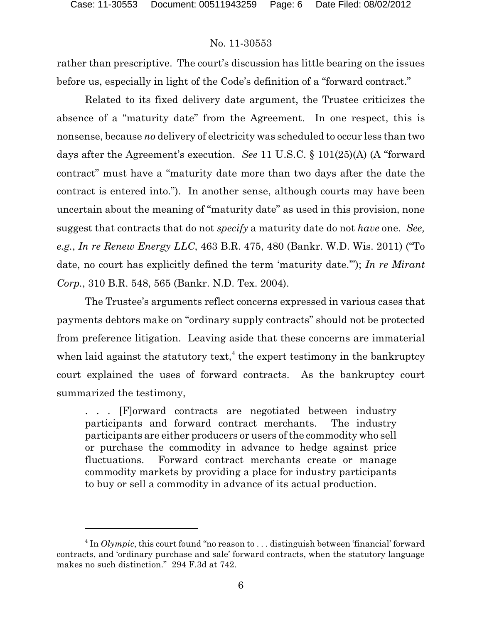rather than prescriptive. The court's discussion has little bearing on the issues before us, especially in light of the Code's definition of a "forward contract."

Related to its fixed delivery date argument, the Trustee criticizes the absence of a "maturity date" from the Agreement. In one respect, this is nonsense, because *no* delivery of electricity was scheduled to occur less than two days after the Agreement's execution. *See* 11 U.S.C. § 101(25)(A) (A "forward contract" must have a "maturity date more than two days after the date the contract is entered into."). In another sense, although courts may have been uncertain about the meaning of "maturity date" as used in this provision, none suggest that contracts that do not *specify* a maturity date do not *have* one. *See, e.g.*, *In re Renew Energy LLC*, 463 B.R. 475, 480 (Bankr. W.D. Wis. 2011) ("To date, no court has explicitly defined the term 'maturity date.'"); *In re Mirant Corp.*, 310 B.R. 548, 565 (Bankr. N.D. Tex. 2004).

The Trustee's arguments reflect concerns expressed in various cases that payments debtors make on "ordinary supply contracts" should not be protected from preference litigation. Leaving aside that these concerns are immaterial when laid against the statutory text,<sup> $4$ </sup> the expert testimony in the bankruptcy court explained the uses of forward contracts. As the bankruptcy court summarized the testimony,

. . . [F]orward contracts are negotiated between industry participants and forward contract merchants. The industry participants are either producers or users of the commodity who sell or purchase the commodity in advance to hedge against price fluctuations. Forward contract merchants create or manage commodity markets by providing a place for industry participants to buy or sell a commodity in advance of its actual production.

 $\frac{4}{1}$  In *Olympic*, this court found "no reason to ... distinguish between 'financial' forward contracts, and 'ordinary purchase and sale' forward contracts, when the statutory language makes no such distinction." 294 F.3d at 742.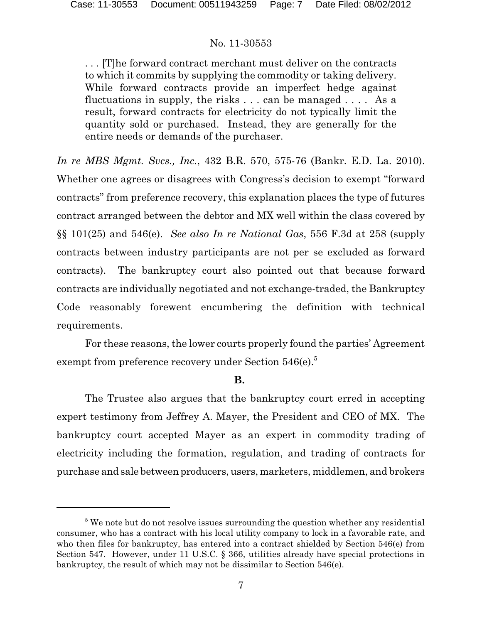. . . [T]he forward contract merchant must deliver on the contracts to which it commits by supplying the commodity or taking delivery. While forward contracts provide an imperfect hedge against fluctuations in supply, the risks  $\dots$  can be managed  $\dots$ . As a result, forward contracts for electricity do not typically limit the quantity sold or purchased. Instead, they are generally for the entire needs or demands of the purchaser.

*In re MBS Mgmt. Svcs., Inc.*, 432 B.R. 570, 575-76 (Bankr. E.D. La. 2010). Whether one agrees or disagrees with Congress's decision to exempt "forward contracts" from preference recovery, this explanation places the type of futures contract arranged between the debtor and MX well within the class covered by §§ 101(25) and 546(e). *See also In re National Gas*, 556 F.3d at 258 (supply contracts between industry participants are not per se excluded as forward contracts). The bankruptcy court also pointed out that because forward contracts are individually negotiated and not exchange-traded, the Bankruptcy Code reasonably forewent encumbering the definition with technical requirements.

For these reasons, the lower courts properly found the parties' Agreement exempt from preference recovery under Section  $546(e)$ .<sup>5</sup>

## **B.**

The Trustee also argues that the bankruptcy court erred in accepting expert testimony from Jeffrey A. Mayer, the President and CEO of MX. The bankruptcy court accepted Mayer as an expert in commodity trading of electricity including the formation, regulation, and trading of contracts for purchase and sale between producers, users, marketers, middlemen, and brokers

 $5$  We note but do not resolve issues surrounding the question whether any residential consumer, who has a contract with his local utility company to lock in a favorable rate, and who then files for bankruptcy, has entered into a contract shielded by Section 546(e) from Section 547. However, under 11 U.S.C. § 366, utilities already have special protections in bankruptcy, the result of which may not be dissimilar to Section 546(e).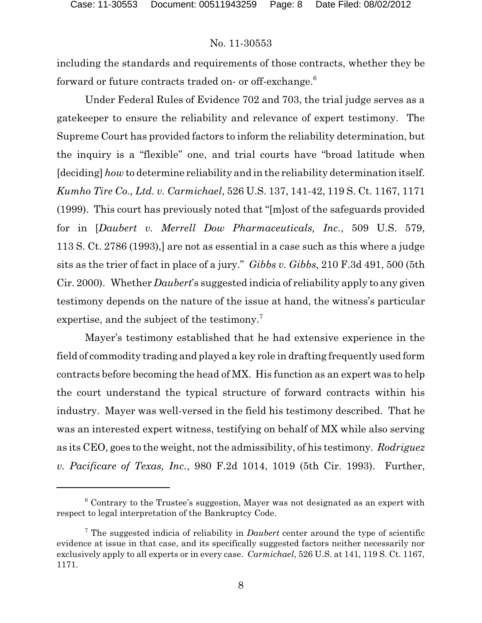including the standards and requirements of those contracts, whether they be forward or future contracts traded on- or off-exchange.<sup>6</sup>

Under Federal Rules of Evidence 702 and 703, the trial judge serves as a gatekeeper to ensure the reliability and relevance of expert testimony. The Supreme Court has provided factors to inform the reliability determination, but the inquiry is a "flexible" one, and trial courts have "broad latitude when [deciding] *how* to determine reliability and in the reliability determination itself. *Kumho Tire Co., Ltd. v. Carmichael*, 526 U.S. 137, 141-42, 119 S. Ct. 1167, 1171 (1999). This court has previously noted that "[m]ost of the safeguards provided for in [*Daubert v. Merrell Dow Pharmaceuticals, Inc.*, 509 U.S. 579, 113 S. Ct. 2786 (1993),] are not as essential in a case such as this where a judge sits as the trier of fact in place of a jury." *Gibbs v. Gibbs*, 210 F.3d 491, 500 (5th Cir. 2000). Whether *Daubert*'s suggested indicia of reliability apply to any given testimony depends on the nature of the issue at hand, the witness's particular expertise, and the subject of the testimony.<sup>7</sup>

Mayer's testimony established that he had extensive experience in the field of commodity trading and played a key role in drafting frequently used form contracts before becoming the head of MX. His function as an expert was to help the court understand the typical structure of forward contracts within his industry. Mayer was well-versed in the field his testimony described. That he was an interested expert witness, testifying on behalf of MX while also serving as its CEO, goes to the weight, not the admissibility, of his testimony. *Rodriguez v. Pacificare of Texas, Inc.*, 980 F.2d 1014, 1019 (5th Cir. 1993). Further,

 $6$  Contrary to the Trustee's suggestion, Mayer was not designated as an expert with respect to legal interpretation of the Bankruptcy Code.

<sup>&</sup>lt;sup>7</sup> The suggested indicia of reliability in *Daubert* center around the type of scientific evidence at issue in that case, and its specifically suggested factors neither necessarily nor exclusively apply to all experts or in every case. *Carmichael*, 526 U.S. at 141, 119 S. Ct. 1167, 1171.